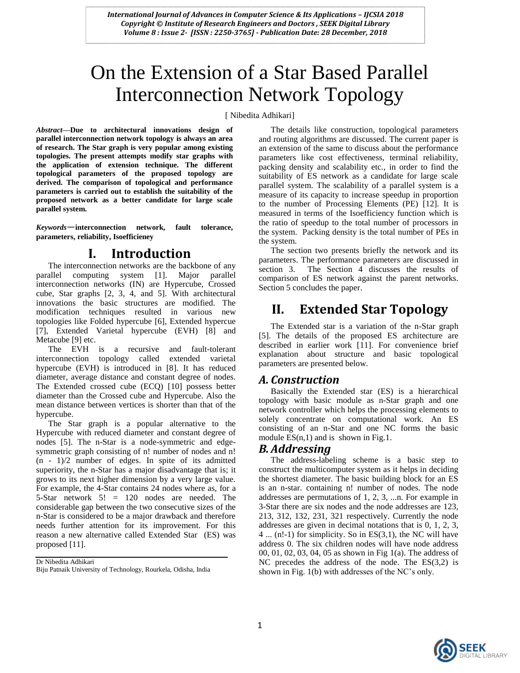# On the Extension of a Star Based Parallel Interconnection Network Topology

[ Nibedita Adhikari]

*Abstract—***Due to architectural innovations design of parallel interconnection network topology is always an area of research. The Star graph is very popular among existing topologies. The present attempts modify star graphs with the application of extension technique. The different topological parameters of the proposed topology are derived. The comparison of topological and performance parameters is carried out to establish the suitability of the proposed network as a better candidate for large scale parallel system.** 

*Keywords*—**interconnection network, fault tolerance, parameters, reliability, Isoefficieney**

### **I. Introduction**

The interconnection networks are the backbone of any parallel computing system [1]. Major parallel interconnection networks (IN) are Hypercube, Crossed cube, Star graphs [2, 3, 4, and 5]. With architectural innovations the basic structures are modified. The modification techniques resulted in various new topologies like Folded hypercube [6], Extended hypercue [7], Extended Varietal hypercube (EVH) [8] and Metacube [9] etc.

The EVH is a recursive and fault-tolerant interconnection topology called extended varietal hypercube (EVH) is introduced in [8]. It has reduced diameter, average distance and constant degree of nodes. The Extended crossed cube (ECQ) [10] possess better diameter than the Crossed cube and Hypercube. Also the mean distance between vertices is shorter than that of the hypercube.

The Star graph is a popular alternative to the Hypercube with reduced diameter and constant degree of nodes [5]. The n-Star is a node-symmetric and edgesymmetric graph consisting of n! number of nodes and n! (n - 1)/2 number of edges. In spite of its admitted superiority, the n-Star has a major disadvantage that is; it grows to its next higher dimension by a very large value. For example, the 4-Star contains 24 nodes where as, for a 5-Star network 5! = 120 nodes are needed. The considerable gap between the two consecutive sizes of the n-Star is considered to be a major drawback and therefore needs further attention for its improvement. For this reason a new alternative called Extended Star (ES) was proposed [11].

Dr Nibedita Adhikari

The details like construction, topological parameters and routing algorithms are discussed. The current paper is an extension of the same to discuss about the performance parameters like cost effectiveness, terminal reliability, packing density and scalability etc., in order to find the suitability of ES network as a candidate for large scale parallel system. The scalability of a parallel system is a measure of its capacity to increase speedup in proportion to the number of Processing Elements (PE) [12]. It is measured in terms of the Isoefficiency function which is the ratio of speedup to the total number of processors in the system. Packing density is the total number of PEs in the system.

The section two presents briefly the network and its parameters. The performance parameters are discussed in section 3. The Section 4 discusses the results of comparison of ES network against the parent networks. Section 5 concludes the paper.

# **II. Extended Star Topology**

The Extended star is a variation of the n-Star graph [5]. The details of the proposed ES architecture are described in earlier work [11]. For convenience brief explanation about structure and basic topological parameters are presented below.

#### *A. Construction*

Basically the Extended star (ES) is a hierarchical topology with basic module as n-Star graph and one network controller which helps the processing elements to solely concentrate on computational work. An ES consisting of an n-Star and one NC forms the basic module  $ES(n,1)$  and is shown in Fig.1.

### *B. Addressing*

The address-labeling scheme is a basic step to construct the multicomputer system as it helps in deciding the shortest diameter. The basic building block for an ES is an n-star. containing n! number of nodes. The node addresses are permutations of 1, 2, 3, ...n. For example in 3-Star there are six nodes and the node addresses are 123, 213, 312, 132, 231, 321 respectively. Currently the node addresses are given in decimal notations that is 0, 1, 2, 3, 4 ... (n!-1) for simplicity. So in ES(3,1), the NC will have address 0. The six children nodes will have node address 00, 01, 02, 03, 04, 05 as shown in Fig 1(a). The address of NC precedes the address of the node. The ES(3,2) is shown in Fig. 1(b) with addresses of the NC"s only.



Biju Patnaik University of Technology, Rourkela, Odisha, India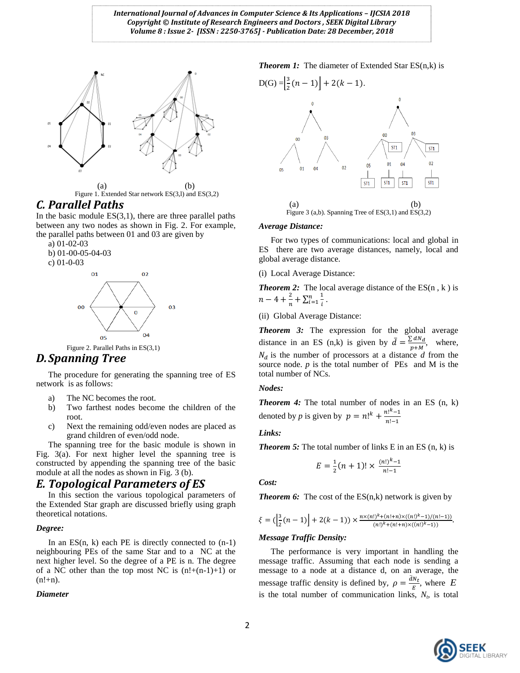



### *C. Parallel Paths*

In the basic module  $ES(3,1)$ , there are three parallel paths between any two nodes as shown in Fig. 2. For example, the parallel paths between 01 and 03 are given by

a) 01-02-03

b) 01-00-05-04-03 c) 01-0-03



Figure 2. Parallel Paths in ES(3,1)

### *D.Spanning Tree*

The procedure for generating the spanning tree of ES network is as follows:

- a) The NC becomes the root.
- b) Two farthest nodes become the children of the root.
- c) Next the remaining odd/even nodes are placed as grand children of even/odd node.

The spanning tree for the basic module is shown in Fig. 3(a). For next higher level the spanning tree is constructed by appending the spanning tree of the basic module at all the nodes as shown in Fig. 3 (b).

### *E. Topological Parameters of ES*

In this section the various topological parameters of the Extended Star graph are discussed briefly using graph theoretical notations.

#### *Degree:*

In an  $ES(n, k)$  each PE is directly connected to  $(n-1)$ neighbouring PEs of the same Star and to a NC at the next higher level. So the degree of a PE is n. The degree of a NC other than the top most NC is  $(n!+(n-1)+1)$  or  $(n!+n)$ .

#### *Diameter*

*Theorem 1:* The diameter of Extended Star ES(n,k) is



# *Average Distance:*

For two types of communications: local and global in ES there are two average distances, namely, local and global average distance.

(i) Local Average Distance:

*Theorem 2:* The local average distance of the ES(n, k) is  $n-4+\frac{2}{3}$  $\frac{2}{n} + \sum_{i=1}^{n} \frac{1}{i}$ i  $\frac{n}{i=1}$ .

(ii) Global Average Distance:

*Theorem 3:* The expression for the global average distance in an ES (n,k) is given by  $\bar{d} = \frac{\sum d}{n}$  $\overline{p}$ , where,  $N_d$  is the number of processors at a distance  $d$  from the source node.  $p$  is the total number of PEs and M is the total number of NCs.

#### *Nodes:*

**Theorem 4:** The total number of nodes in an ES (n, k) denoted by *p* is given by  $p = n!^k + \frac{n!^k}{n!}$  $\frac{n!}{n!-1}$ 

#### *Links:*

*Theorem 5:* The total number of links E in an ES (n, k) is

$$
E = \frac{1}{2}(n+1)! \times \frac{(n!)^{k}-1}{n!-1}
$$

*Cost:*

*Theorem 6:* The cost of the ES(n,k) network is given by

$$
\xi = \big(\Big|_2^3 (n-1)\Big| + 2(k-1)\big) \times \tfrac{n \times (n!)^k + (n!+n) \times ((n!)^k - 1)/(n! - 1))}{(n!)^k + (n!+n) \times ((n!)^k - 1))}.
$$

#### *Message Traffic Density:*

The performance is very important in handling the message traffic. Assuming that each node is sending a message to a node at a distance d, on an average, the message traffic density is defined by,  $\rho = \frac{dN}{dt}$  $\frac{N_t}{E}$ , where  $E$ is the total number of communication links,  $N_t$ , is total

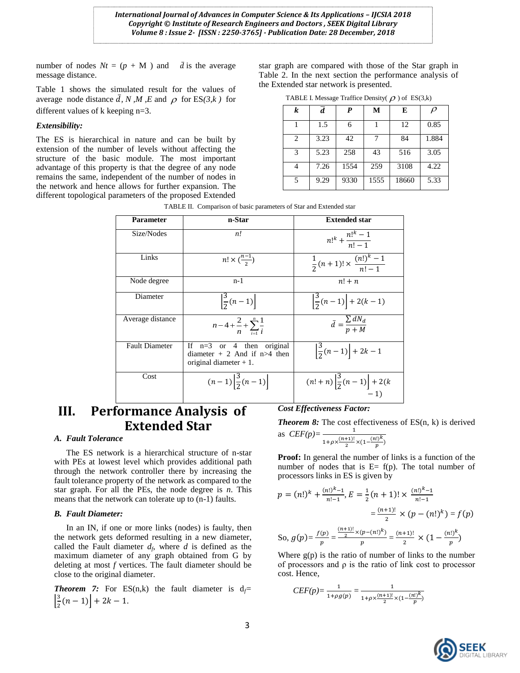number of nodes  $Nt = (p + M)$  and  $\bar{d}$  is the average message distance.

Table 1 shows the simulated result for the values of average node distance  $\overline{d}$ , N, M, E and  $\rho$  for ES(3, k) for different values of k keeping n=3.

#### *Extensibility:*

The ES is hierarchical in nature and can be built by extension of the number of levels without affecting the structure of the basic module. The most important advantage of this property is that the degree of any node remains the same, independent of the number of nodes in the network and hence allows for further expansion. The different topological parameters of the proposed Extended

star graph are compared with those of the Star graph in Table 2. In the next section the performance analysis of the Extended star network is presented.

TABLE I. Message Traffice Density( $\rho$ ) of ES(3,k)

| k | $\overline{d}$ | P    | M    | E     | $\rho$ |
|---|----------------|------|------|-------|--------|
|   | 1.5            | 6    |      | 12    | 0.85   |
| 2 | 3.23           | 42   | 7    | 84    | 1.884  |
| 3 | 5.23           | 258  | 43   | 516   | 3.05   |
|   | 7.26           | 1554 | 259  | 3108  | 4.22   |
| 5 | 9.29           | 9330 | 1555 | 18660 | 5.33   |

| Parameter             | n-Star                                                                                        | <b>Extended star</b>                                 |
|-----------------------|-----------------------------------------------------------------------------------------------|------------------------------------------------------|
| Size/Nodes            | n!                                                                                            | $n!^{k} + \frac{n!^{k}-1}{n!-1}$                     |
| Links                 | $n! \times \binom{n-1}{2}$                                                                    | $\frac{1}{2}(n+1)! \times \frac{(n!)^k - 1}{n! - 1}$ |
| Node degree           | $n-1$                                                                                         | $n! + n$                                             |
| Diameter              | $\left \frac{3}{2}(n-1)\right $                                                               | $\left \frac{3}{2}(n-1)\right $ + 2(k - 1)           |
| Average distance      | $n-4+\frac{2}{n}+\sum_{i=1}^n\frac{1}{i}$                                                     | $\bar{d} = \frac{\sum dN_d}{n+M}$                    |
| <b>Fault Diameter</b> | If $n=3$ or 4 then<br>original<br>diameter $+2$ And if $n>4$ then<br>original diameter $+1$ . | $\left \frac{3}{2}(n-1)\right +2k-1$                 |
| Cost                  | $(n-1)\left \frac{3}{2}(n-1)\right $                                                          | $(n!+n)\left \frac{3}{2}(n-1)\right +2(k)$<br>$-1)$  |

# **III. Performance Analysis of Extended Star**

#### *A. Fault Tolerance*

The ES network is a hierarchical structure of n-star with PEs at lowest level which provides additional path through the network controller there by increasing the fault tolerance property of the network as compared to the star graph. For all the PEs, the node degree is *n*. This means that the network can tolerate up to (n-1) faults.

#### *B. Fault Diameter:*

In an IN, if one or more links (nodes) is faulty, then the network gets deformed resulting in a new diameter, called the Fault diameter  $d_f$ , where  $d$  is defined as the maximum diameter of any graph obtained from G by deleting at most *f* vertices. The fault diameter should be close to the original diameter.

**Theorem 7:** For ES(n,k) the fault diameter is  $d_f$ =  $\frac{3}{2}$  $\frac{3}{2}(n-1)$  + 2k - 1.

#### *Cost Effectiveness Factor:*

*Theorem 8:* The cost effectiveness of ES(n, k) is derived as *CEF(p)=*

$$
C E F(p) - \frac{(n+1)!}{1 + \rho \times \frac{(n+1)!}{2} \times (1 - \frac{(n!)^k}{p})}
$$

**Proof:** In general the number of links is a function of the number of nodes that is  $E= f(p)$ . The total number of processors links in ES is given by

$$
p = (n!)^k + \frac{(n!)^{k} - 1}{n! - 1}, E = \frac{1}{2}(n + 1)! \times \frac{(n!)^{k} - 1}{n! - 1}
$$

$$
= \frac{(n+1)!}{2} \times (p - (n!)^k) = f(p)
$$
So,  $g(p) = \frac{f(p)}{p} = \frac{\frac{(n+1)!}{2} \times (p - (n!)^k)}{p} = \frac{(n+1)!}{2} \times (1 - \frac{(n!)^k}{p})$ 

Where  $g(p)$  is the ratio of number of links to the number of processors and  $\rho$  is the ratio of link cost to processor cost. Hence,

$$
CEF(p) = \frac{1}{1 + \rho g(p)} = \frac{1}{1 + \rho \times \frac{(n+1)!}{2} \times (1 - \frac{(n!)^k}{p})}
$$

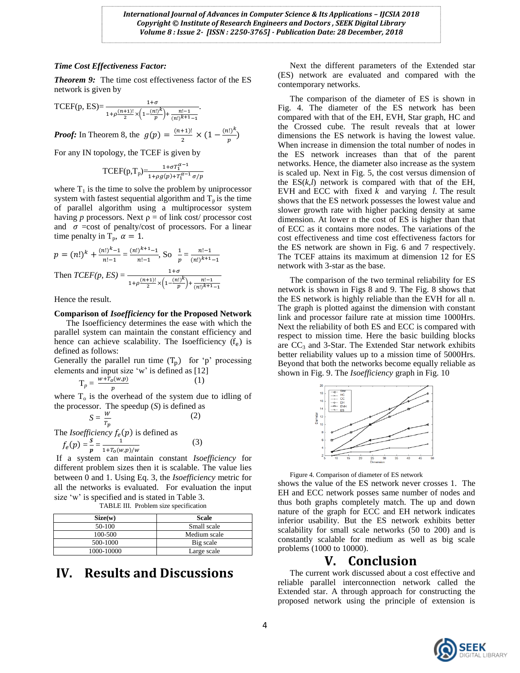#### *Time Cost Effectiveness Factor:*

*Theorem 9:* The time cost effectiveness factor of the ES network is given by

TCEF(p, ES)= 
$$
\frac{1+\sigma}{1+\rho\frac{(n+1)!}{2}} \times \left(1-\frac{(n!)^k}{p}\right) + \frac{n!-1}{(n!)^{k+1}-1}.
$$

*Proof:* In Theorem 8, the  $g(p) = \frac{p}{q}$  $rac{+1}{2} \times (1 - \frac{(n!)^k}{p})$  $\frac{f(t)}{p}$ 

For any IN topology, the TCEF is given by

$$
\text{TCEF}(p, T_p) = \frac{1 + \sigma T_1^{\alpha - 1}}{1 + \rho g(p) + T_1^{\alpha - 1} \sigma / p}
$$

where  $T_1$  is the time to solve the problem by uniprocessor system with fastest sequential algorithm and  $T_p$  is the time of parallel algorithm using a multiprocessor system having *p* processors. Next  $\rho =$  of link cost/ processor cost and  $\sigma$  =cost of penalty/cost of processors. For a linear time penalty in  $T_p$ ,  $\alpha = 1$ .

$$
p = (n!)^{k} + \frac{(n!)^{k-1}}{n!-1} = \frac{(n!)^{k+1}-1}{n!-1}, \text{ So } \frac{1}{p} = \frac{n!-1}{(n!)^{k+1}-1}
$$
  
Then 
$$
TCEF(p, ES) = \frac{1+\sigma}{1+\rho\frac{(n+1)!}{2} \times \left(1-\frac{(n!)^{k}}{p}\right) + \frac{n!-1}{(n!)^{k+1}-1}}
$$

Hence the result.

The *Isoef* 

#### **Comparison of** *Isoefficiency* **for the Proposed Network**

The Isoefficiency determines the ease with which the parallel system can maintain the constant efficiency and hence can achieve scalability. The Isoefficiency  $(f_e)$  is defined as follows:

Generally the parallel run time  $(T_p)$  for 'p' processing elements and input size "w" is defined as [12]

(1)

(3)

$$
\mathrm{T}_p = \frac{w + T_0(w,p)}{p}
$$

where  $T<sub>o</sub>$  is the overhead of the system due to idling of the processor. The speedup (*S*) is defined as

$$
S = \frac{w}{r_p}
$$
 (2)  
ficiency f<sub>e</sub>(p) is defined as

$$
f(n) = \frac{S}{n} - \frac{1}{n}
$$

$$
f_e(p) = \frac{3}{p} = \frac{1}{1 + T_o(w, p)/w}
$$

If a system can maintain constant *Isoefficiency* for different problem sizes then it is scalable. The value lies between 0 and 1. Using Eq. 3, the *Isoefficiency* metric for all the networks is evaluated. For evaluation the input size 'w' is specified and is stated in Table 3.

| TABLE III. Problem size specification |              |  |  |  |
|---------------------------------------|--------------|--|--|--|
| Size(w)                               | <b>Scale</b> |  |  |  |
| 50-100                                | Small scale  |  |  |  |
| 100-500                               | Medium scale |  |  |  |
| 500-1000                              | Big scale    |  |  |  |
| 1000-10000                            | Large scale  |  |  |  |

# **IV. Results and Discussions**

Next the different parameters of the Extended star (ES) network are evaluated and compared with the contemporary networks.

The comparison of the diameter of ES is shown in Fig. 4. The diameter of the ES network has been compared with that of the EH, EVH, Star graph, HC and the Crossed cube. The result reveals that at lower dimensions the ES network is having the lowest value. When increase in dimension the total number of nodes in the ES network increases than that of the parent networks. Hence, the diameter also increase as the system is scaled up. Next in Fig. 5, the cost versus dimension of the  $ES(k, l)$  network is compared with that of the EH, EVH and ECC with fixed *k* and varying *l*. The result shows that the ES network possesses the lowest value and slower growth rate with higher packing density at same dimension. At lower n the cost of ES is higher than that of ECC as it contains more nodes. The variations of the cost effectiveness and time cost effectiveness factors for the ES network are shown in Fig. 6 and 7 respectively. The TCEF attains its maximum at dimension 12 for ES network with 3-star as the base.

The comparison of the two terminal reliability for ES network is shown in Figs 8 and 9. The Fig. 8 shows that the ES network is highly reliable than the EVH for all n. The graph is plotted against the dimension with constant link and processor failure rate at mission time 1000Hrs. Next the reliability of both ES and ECC is compared with respect to mission time. Here the basic building blocks are  $CC_3$  and 3-Star. The Extended Star network exhibits better reliability values up to a mission time of 5000Hrs. Beyond that both the networks become equally reliable as shown in Fig. 9. The *Isoefficiency* graph in Fig. 10



Figure 4. Comparison of diameter of ES network

shows the value of the ES network never crosses 1. The EH and ECC network posses same number of nodes and thus both graphs completely match. The up and down nature of the graph for ECC and EH network indicates inferior usability. But the ES network exhibits better scalability for small scale networks (50 to 200) and is constantly scalable for medium as well as big scale problems (1000 to 10000).

## **V. Conclusion**

The current work discussed about a cost effective and reliable parallel interconnection network called the Extended star. A through approach for constructing the proposed network using the principle of extension is